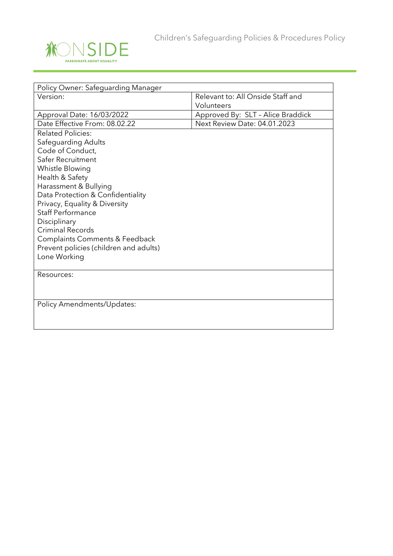

| Policy Owner: Safeguarding Manager                     |                                     |
|--------------------------------------------------------|-------------------------------------|
| Version:                                               | Relevant to: All Onside Staff and   |
|                                                        | Volunteers                          |
| Approval Date: 16/03/2022                              | Approved By: SLT - Alice Braddick   |
| Date Effective From: 08.02.22                          | <b>Next Review Date: 04.01.2023</b> |
| <b>Related Policies:</b>                               |                                     |
| Safeguarding Adults                                    |                                     |
| Code of Conduct,                                       |                                     |
| Safer Recruitment                                      |                                     |
| Whistle Blowing                                        |                                     |
| Health & Safety                                        |                                     |
| Harassment & Bullying                                  |                                     |
| Data Protection & Confidentiality                      |                                     |
| Privacy, Equality & Diversity                          |                                     |
| <b>Staff Performance</b>                               |                                     |
| Disciplinary                                           |                                     |
| <b>Criminal Records</b>                                |                                     |
| <b>Complaints Comments &amp; Feedback</b>              |                                     |
| Prevent policies (children and adults)<br>Lone Working |                                     |
|                                                        |                                     |
| Resources:                                             |                                     |
|                                                        |                                     |
|                                                        |                                     |
| Policy Amendments/Updates:                             |                                     |
|                                                        |                                     |
|                                                        |                                     |
|                                                        |                                     |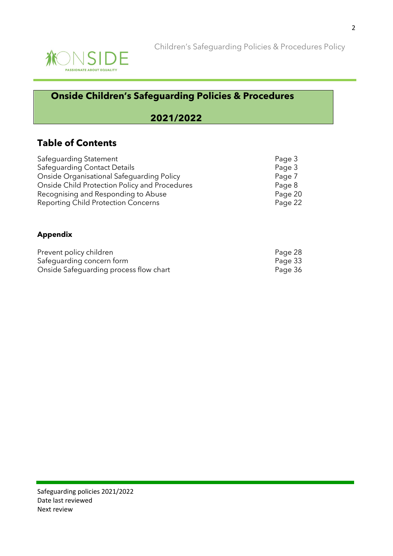

## **Onside Children's Safeguarding Policies & Procedures**

## **2021/2022**

## **Table of Contents**

| Page 3  |
|---------|
| Page 3  |
| Page 7  |
| Page 8  |
| Page 20 |
| Page 22 |
|         |

#### **Appendix**

| Prevent policy children                | Page 28 |
|----------------------------------------|---------|
| Safeguarding concern form              | Page 33 |
| Onside Safeguarding process flow chart | Page 36 |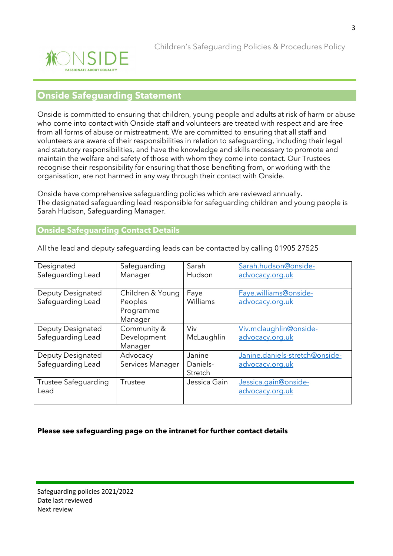

### **Onside Safeguarding Statement**

Onside is committed to ensuring that children, young people and adults at risk of harm or abuse who come into contact with Onside staff and volunteers are treated with respect and are free from all forms of abuse or mistreatment. We are committed to ensuring that all staff and volunteers are aware of their responsibilities in relation to safeguarding, including their legal and statutory responsibilities, and have the knowledge and skills necessary to promote and maintain the welfare and safety of those with whom they come into contact. Our Trustees recognise their responsibility for ensuring that those benefiting from, or working with the organisation, are not harmed in any way through their contact with Onside.

Onside have comprehensive safeguarding policies which are reviewed annually. The designated safeguarding lead responsible for safeguarding children and young people is Sarah Hudson, Safeguarding Manager.

#### **Onside Safeguarding Contact Details**

| Designated               | Safeguarding     | Sarah        | Sarah.hudson@onside-           |  |
|--------------------------|------------------|--------------|--------------------------------|--|
| Safeguarding Lead        | Manager          | Hudson       | advocacy.org.uk                |  |
|                          |                  |              |                                |  |
| <b>Deputy Designated</b> | Children & Young | Faye         | Faye.williams@onside-          |  |
| Safeguarding Lead        | Peoples          | Williams     | advocacy.org.uk                |  |
|                          | Programme        |              |                                |  |
|                          | Manager          |              |                                |  |
| <b>Deputy Designated</b> | Community &      | Viv          | Viv.mclaughlin@onside-         |  |
| Safeguarding Lead        | Development      | McLaughlin   | advocacy.org.uk                |  |
|                          | Manager          |              |                                |  |
| <b>Deputy Designated</b> | Advocacy         | Janine       | Janine.daniels-stretch@onside- |  |
| Safeguarding Lead        | Services Manager | Daniels-     | advocacy.org.uk                |  |
|                          |                  | Stretch      |                                |  |
| Trustee Safequarding     | Trustee          | Jessica Gain | Jessica.gain@onside-           |  |
| Lead                     |                  |              | advocacy.org.uk                |  |
|                          |                  |              |                                |  |

All the lead and deputy safeguarding leads can be contacted by calling 01905 27525

#### **Please see safeguarding page on the intranet for further contact details**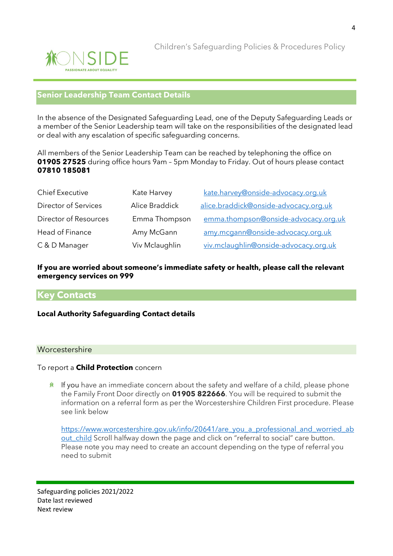

#### **Senior Leadership Team Contact Details**

In the absence of the Designated Safeguarding Lead, one of the Deputy Safeguarding Leads or a member of the Senior Leadership team will take on the responsibilities of the designated lead or deal with any escalation of specific safeguarding concerns.

All members of the Senior Leadership Team can be reached by telephoning the office on **01905 27525** during office hours 9am – 5pm Monday to Friday. Out of hours please contact **07810 185081**

| <b>Chief Executive</b> | Kate Harvey    | kate.harvey@onside-advocacy.org.uk    |  |  |
|------------------------|----------------|---------------------------------------|--|--|
| Director of Services   | Alice Braddick | alice.braddick@onside-advocacy.org.uk |  |  |
| Director of Resources  | Emma Thompson  | emma.thompson@onside-advocacy.org.uk  |  |  |
| Head of Finance        | Amy McGann     | amy.mcgann@onside-advocacy.org.uk     |  |  |
| C & D Manager          | Viv Mclaughlin | viv.mclaughlin@onside-advocacy.org.uk |  |  |

#### **If you are worried about someone's immediate safety or health, please call the relevant emergency services on 999**

### **Key Contacts**

#### **Local Authority Safeguarding Contact details**

#### **Worcestershire**

#### To report a **Child Protection** concern

 $*$  If you have an immediate concern about the safety and welfare of a child, please phone the Family Front Door directly on **01905 822666**. You will be required to submit the information on a referral form as per the Worcestershire Children First procedure. Please see link below

[https://www.worcestershire.gov.uk/info/20641/are\\_you\\_a\\_professional\\_and\\_worried\\_ab](https://www.worcestershire.gov.uk/info/20641/are_you_a_professional_and_worried_about_child) out child Scroll halfway down the page and click on "referral to social" care button. Please note you may need to create an account depending on the type of referral you need to submit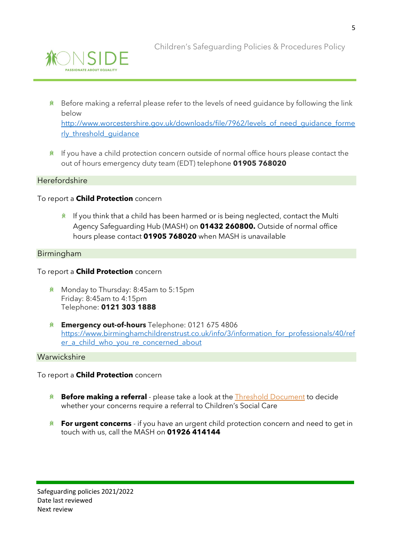

Children's Safeguarding Policies & Procedures Policy

- $*$  Before making a referral please refer to the levels of need guidance by following the link below [http://www.worcestershire.gov.uk/downloads/file/7962/levels\\_of\\_need\\_guidance\\_forme](http://www.worcestershire.gov.uk/downloads/file/7962/levels_of_need_guidance_formerly_threshold_guidance) rly threshold quidance
- $*$  If you have a child protection concern outside of normal office hours please contact the out of hours emergency duty team (EDT) telephone **01905 768020**

#### Herefordshire

#### To report a **Child Protection** concern

 $*$  If you think that a child has been harmed or is being neglected, contact the Multi Agency Safeguarding Hub (MASH) on **01432 260800.** Outside of normal office hours please contact **01905 768020** when MASH is unavailable

#### Birmingham

#### To report a **Child Protection** concern

- **Monday to Thursday: 8:45am to 5:15pm** Friday: 8:45am to 4:15pm Telephone: **0121 303 1888**
- **Emergency out-of-hours** Telephone: 0121 675 4806 [https://www.birminghamchildrenstrust.co.uk/info/3/information\\_for\\_professionals/40/ref](https://www.birminghamchildrenstrust.co.uk/info/3/information_for_professionals/40/refer_a_child_who_you_re_concerned_about) er a child who you re concerned about

#### Warwickshire

To report a **Child Protection** concern

- **Before making a referral** please take a look at the **Threshold Document** to decide whether your concerns require a referral to Children's Social Care
- **For urgent concerns** if you have an urgent child protection concern and need to get in touch with us, call the MASH on **01926 414144**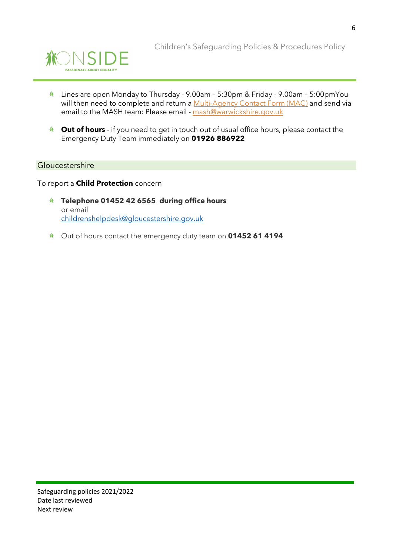

- Lines are open Monday to Thursday 9.00am 5:30pm & Friday 9.00am 5:00pmYou will then need to complete and return a [Multi-Agency Contact Form \(MAC\)](https://www.safeguardingwarwickshire.co.uk/downloads/MAC-2020-FINAL-23-9-20.docx) and send via email to the MASH team: Please email - [mash@warwickshire.gov.uk](mailto:mash@warwickshire.gov.uk)
- **Nut of hours** if you need to get in touch out of usual office hours, please contact the Emergency Duty Team immediately on **01926 886922**

#### Gloucestershire

To report a **Child Protection** concern

- **Telephone 01452 42 6565 during office hours** or email [childrenshelpdesk@gloucestershire.gov.uk](mailto:childrenshelpdesk@gloucestershire.gov.uk)
- Out of hours contact the emergency duty team on **01452 61 4194**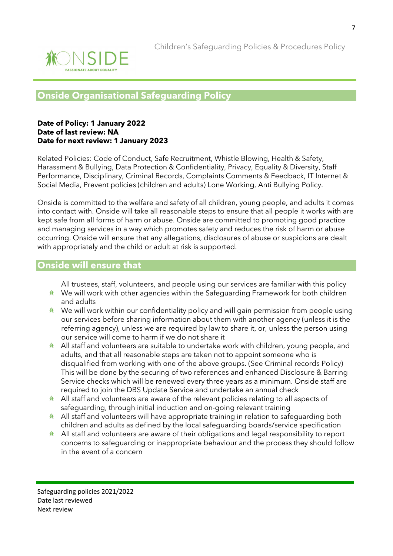

## **Onside Organisational Safeguarding Policy**

#### **Date of Policy: 1 January 2022 Date of last review: NA Date for next review: 1January 2023**

Related Policies: Code of Conduct, Safe Recruitment, Whistle Blowing, Health & Safety, Harassment & Bullying, Data Protection & Confidentiality, Privacy, Equality & Diversity, Staff Performance, Disciplinary, Criminal Records, Complaints Comments & Feedback, IT Internet & Social Media, Prevent policies (children and adults) Lone Working, Anti Bullying Policy.

Onside is committed to the welfare and safety of all children, young people, and adults it comes into contact with. Onside will take all reasonable steps to ensure that all people it works with are kept safe from all forms of harm or abuse. Onside are committed to promoting good practice and managing services in a way which promotes safety and reduces the risk of harm or abuse occurring. Onside will ensure that any allegations, disclosures of abuse or suspicions are dealt with appropriately and the child or adult at risk is supported.

## **Onside will ensure that**

All trustees, staff, volunteers, and people using our services are familiar with this policy

- **K** We will work with other agencies within the Safeguarding Framework for both children and adults
- $*$  We will work within our confidentiality policy and will gain permission from people using our services before sharing information about them with another agency (unless it is the referring agency), unless we are required by law to share it, or, unless the person using our service will come to harm if we do not share it
- **ALL** staff and volunteers are suitable to undertake work with children, young people, and adults, and that all reasonable steps are taken not to appoint someone who is disqualified from working with one of the above groups. (See Criminal records Policy) This will be done by the securing of two references and enhanced Disclosure & Barring Service checks which will be renewed every three years as a minimum. Onside staff are required to join the DBS Update Service and undertake an annual check
- $*$  All staff and volunteers are aware of the relevant policies relating to all aspects of safeguarding, through initial induction and on-going relevant training
- K All staff and volunteers will have appropriate training in relation to safequarding both children and adults as defined by the local safeguarding boards/service specification
- All staff and volunteers are aware of their obligations and legal responsibility to report **余** concerns to safeguarding or inappropriate behaviour and the process they should follow in the event of a concern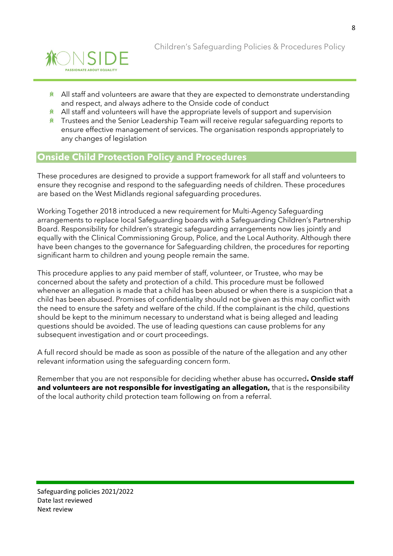

- $*$  All staff and volunteers are aware that they are expected to demonstrate understanding and respect, and always adhere to the Onside code of conduct
- $*$  All staff and volunteers will have the appropriate levels of support and supervision
- **\*** Trustees and the Senior Leadership Team will receive regular safequarding reports to ensure effective management of services. The organisation responds appropriately to any changes of legislation

## **Onside Child Protection Policy and Procedures**

These procedures are designed to provide a support framework for all staff and volunteers to ensure they recognise and respond to the safeguarding needs of children. These procedures are based on the West Midlands regional safeguarding procedures.

Working Together 2018 introduced a new requirement for Multi-Agency Safeguarding arrangements to replace local Safeguarding boards with a Safeguarding Children's Partnership Board. Responsibility for children's strategic safeguarding arrangements now lies jointly and equally with the Clinical Commissioning Group, Police, and the Local Authority. Although there have been changes to the governance for Safeguarding children, the procedures for reporting significant harm to children and young people remain the same.

This procedure applies to any paid member of staff, volunteer, or Trustee, who may be concerned about the safety and protection of a child. This procedure must be followed whenever an allegation is made that a child has been abused or when there is a suspicion that a child has been abused. Promises of confidentiality should not be given as this may conflict with the need to ensure the safety and welfare of the child. If the complainant is the child, questions should be kept to the minimum necessary to understand what is being alleged and leading questions should be avoided. The use of leading questions can cause problems for any subsequent investigation and or court proceedings.

A full record should be made as soon as possible of the nature of the allegation and any other relevant information using the safeguarding concern form.

Remember that you are not responsible for deciding whether abuse has occurred**. Onside staff and volunteers are not responsible for investigating an allegation,** that is the responsibility of the local authority child protection team following on from a referral.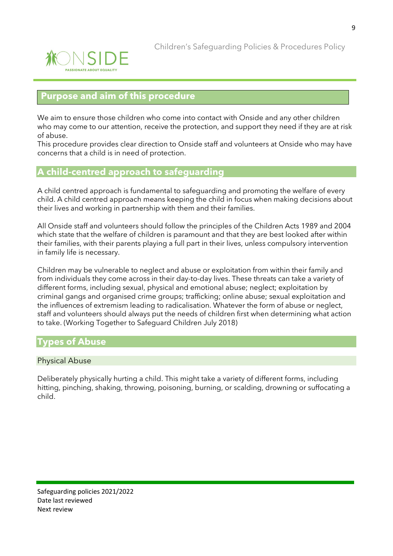

## **Purpose and aim of this procedure**

We aim to ensure those children who come into contact with Onside and any other children who may come to our attention, receive the protection, and support they need if they are at risk of abuse.

This procedure provides clear direction to Onside staff and volunteers at Onside who may have concerns that a child is in need of protection.

## **A child-centred approach to safeguarding**

A child centred approach is fundamental to safeguarding and promoting the welfare of every child. A child centred approach means keeping the child in focus when making decisions about their lives and working in partnership with them and their families.

All Onside staff and volunteers should follow the principles of the Children Acts 1989 and 2004 which state that the welfare of children is paramount and that they are best looked after within their families, with their parents playing a full part in their lives, unless compulsory intervention in family life is necessary.

Children may be vulnerable to neglect and abuse or exploitation from within their family and from individuals they come across in their day-to-day lives. These threats can take a variety of different forms, including sexual, physical and emotional abuse; neglect; exploitation by criminal gangs and organised crime groups; trafficking; online abuse; sexual exploitation and the influences of extremism leading to radicalisation. Whatever the form of abuse or neglect, staff and volunteers should always put the needs of children first when determining what action to take. (Working Together to Safeguard Children July 2018)

## **Types of Abuse**

#### Physical Abuse

Deliberately physically hurting a child. This might take a variety of different forms, including hitting, pinching, shaking, throwing, poisoning, burning, or scalding, drowning or suffocating a child.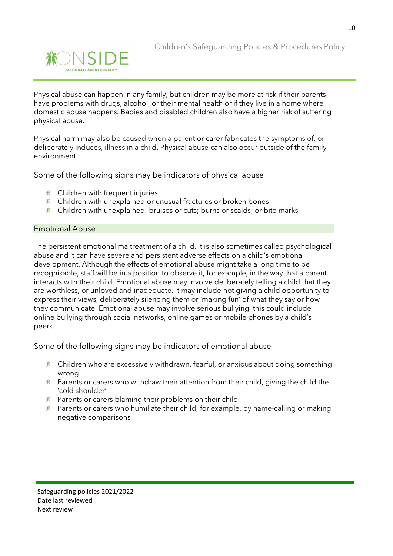

Physical abuse can happen in any family, but children may be more at risk if their parents have problems with drugs, alcohol, or their mental health or if they live in a home where domestic abuse happens. Babies and disabled children also have a higher risk of suffering physical abuse.

Physical harm may also be caused when a parent or carer fabricates the symptoms of, or deliberately induces, illness in a child. Physical abuse can also occur outside of the family environment.

Some of the following signs may be indicators of physical abuse

- Children with frequent injuries
- **K** Children with unexplained or unusual fractures or broken bones
- **K** Children with unexplained: bruises or cuts; burns or scalds; or bite marks

#### Emotional Abuse

The persistent emotional maltreatment of a child. It is also sometimes called psychological abuse and it can have severe and persistent adverse effects on a child's emotional development. Although the effects of emotional abuse might take a long time to be recognisable, staff will be in a position to observe it, for example, in the way that a parent interacts with their child. Emotional abuse may involve deliberately telling a child that they are worthless, or unloved and inadequate. It may include not giving a child opportunity to express their views, deliberately silencing them or 'making fun' of what they say or how they communicate. Emotional abuse may involve serious bullying, this could include online bullying through social networks, online games or mobile phones by a child's peers.

Some of the following signs may be indicators of emotional abuse

- **\*** Children who are excessively withdrawn, fearful, or anxious about doing something wrong
- **\*** Parents or carers who withdraw their attention from their child, giving the child the 'cold shoulder'
- **K** Parents or carers blaming their problems on their child
- $*$  Parents or carers who humiliate their child, for example, by name-calling or making negative comparisons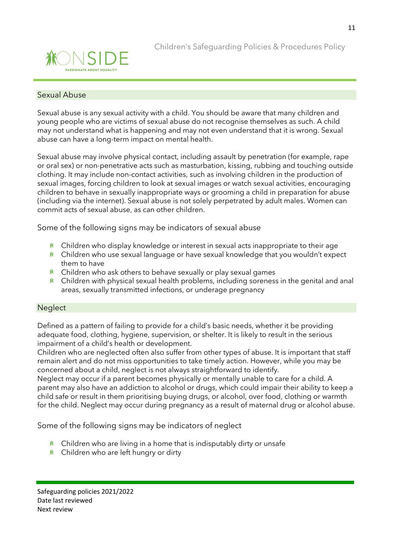

#### Sexual Abuse

Sexual abuse is any sexual activity with a child. You should be aware that many children and young people who are victims of sexual abuse do not recognise themselves as such. A child may not understand what is happening and may not even understand that it is wrong. Sexual abuse can have a long-term impact on mental health.

Sexual abuse may involve physical contact, including assault by penetration (for example, rape or oral sex) or non-penetrative acts such as masturbation, kissing, rubbing and touching outside clothing. It may include non-contact activities, such as involving children in the production of sexual images, forcing children to look at sexual images or watch sexual activities, encouraging children to behave in sexually inappropriate ways or grooming a child in preparation for abuse (including via the internet). Sexual abuse is not solely perpetrated by adult males. Women can commit acts of sexual abuse, as can other children.

Some of the following signs may be indicators of sexual abuse

- $*$  Children who display knowledge or interest in sexual acts inappropriate to their age
- **K** Children who use sexual language or have sexual knowledge that you wouldn't expect them to have
- $*$  Children who ask others to behave sexually or play sexual games
- $*$  Children with physical sexual health problems, including soreness in the genital and anal areas, sexually transmitted infections, or underage pregnancy

#### **Neglect**

Defined as a pattern of failing to provide for a child's basic needs, whether it be providing adequate food, clothing, hygiene, supervision, or shelter. It is likely to result in the serious impairment of a child's health or development.

Children who are neglected often also suffer from other types of abuse. It is important that staff remain alert and do not miss opportunities to take timely action. However, while you may be concerned about a child, neglect is not always straightforward to identify.

Neglect may occur if a parent becomes physically or mentally unable to care for a child. A parent may also have an addiction to alcohol or drugs, which could impair their ability to keep a child safe or result in them prioritising buying drugs, or alcohol, over food, clothing or warmth for the child. Neglect may occur during pregnancy as a result of maternal drug or alcohol abuse.

Some of the following signs may be indicators of neglect

- $*$  Children who are living in a home that is indisputably dirty or unsafe
- $*$  Children who are left hungry or dirty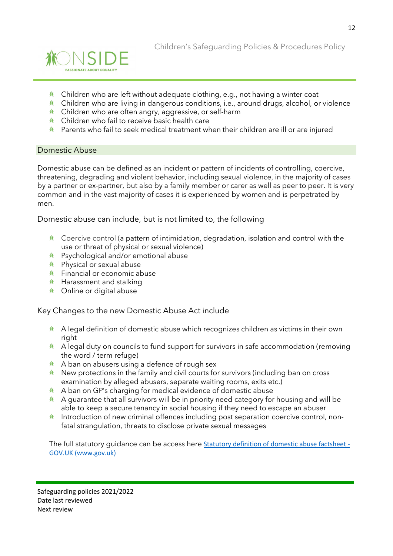

Children's Safeguarding Policies & Procedures Policy

- $*$  Children who are left without adequate clothing, e.g., not having a winter coat
- $*$  Children who are living in dangerous conditions, i.e., around drugs, alcohol, or violence
- **K** Children who are often angry, aggressive, or self-harm
- **K** Children who fail to receive basic health care
- $*$  Parents who fail to seek medical treatment when their children are ill or are injured

#### Domestic Abuse

Domestic abuse can be defined as an incident or pattern of incidents of controlling, coercive, threatening, degrading and violent behavior, including sexual violence, in the majority of cases by a partner or ex-partner, but also by a family member or carer as well as peer to peer. It is very common and in the vast majority of cases it is experienced by women and is perpetrated by men.

Domestic abuse can include, but is not limited to, the following

- $*$  Coercive control (a pattern of intimidation, degradation, isolation and control with the use or threat of physical or sexual violence)
- Psychological and/or emotional abuse
- Physical or sexual abuse
- $*$  Financial or economic abuse
- $*$  Harassment and stalking
- Online or digital abuse

Key Changes to the new Domestic Abuse Act include

- **A** A legal definition of domestic abuse which recognizes children as victims in their own right
- $*$  A legal duty on councils to fund support for survivors in safe accommodation (removing the word / term refuge)
- $*$  A ban on abusers using a defence of rough sex
- $*$  New protections in the family and civil courts for survivors (including ban on cross examination by alleged abusers, separate waiting rooms, exits etc.)
- $*$  A ban on GP's charging for medical evidence of domestic abuse
- $*$  A guarantee that all survivors will be in priority need category for housing and will be able to keep a secure tenancy in social housing if they need to escape an abuser
- $*$  Introduction of new criminal offences including post separation coercive control, nonfatal strangulation, threats to disclose private sexual messages

The full statutory guidance can be access here [Statutory definition of domestic abuse factsheet -](https://www.gov.uk/government/publications/domestic-abuse-bill-2020-factsheets/statutory-definition-of-domestic-abuse-factsheet) [GOV.UK \(www.gov.uk\)](https://www.gov.uk/government/publications/domestic-abuse-bill-2020-factsheets/statutory-definition-of-domestic-abuse-factsheet)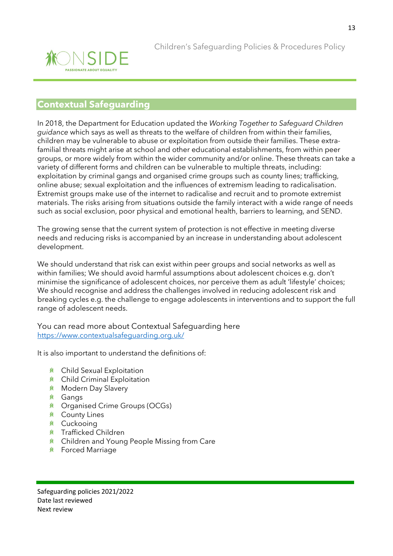

## **Contextual Safeguarding**

In 2018, the Department for Education updated the *Working Together to Safeguard Children guidance* which says as well as threats to the welfare of children from within their families, children may be vulnerable to abuse or exploitation from outside their families. These extrafamilial threats might arise at school and other educational establishments, from within peer groups, or more widely from within the wider community and/or online. These threats can take a variety of different forms and children can be vulnerable to multiple threats, including: exploitation by criminal gangs and organised crime groups such as county lines; trafficking, online abuse; sexual exploitation and the influences of extremism leading to radicalisation. Extremist groups make use of the internet to radicalise and recruit and to promote extremist materials. The risks arising from situations outside the family interact with a wide range of needs such as social exclusion, poor physical and emotional health, barriers to learning, and SEND.

The growing sense that the current system of protection is not effective in meeting diverse needs and reducing risks is accompanied by an increase in understanding about adolescent development.

We should understand that risk can exist within peer groups and social networks as well as within families; We should avoid harmful assumptions about adolescent choices e.g. don't minimise the significance of adolescent choices, nor perceive them as adult 'lifestyle' choices; We should recognise and address the challenges involved in reducing adolescent risk and breaking cycles e.g. the challenge to engage adolescents in interventions and to support the full range of adolescent needs.

You can read more about Contextual Safeguarding here <https://www.contextualsafeguarding.org.uk/>

It is also important to understand the definitions of:

- <u>**<u></u>** ★ Child Sexual Exploitation</u>
- **K** Child Criminal Exploitation
- **K** Modern Day Slavery
- Gangs
- Organised Crime Groups (OCGs)
- **K** County Lines
- **<u><b><del></u>** € Cuckooing</u></u></del>
- Trafficked Children
- **K** Children and Young People Missing from Care
- **K** Forced Marriage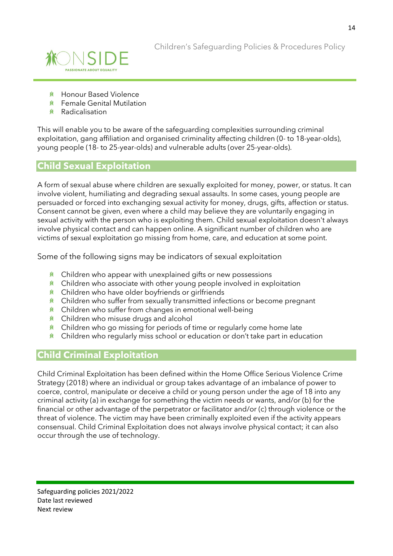

- **K** Honour Based Violence
- Female Genital Mutilation
- Radicalisation

This will enable you to be aware of the safeguarding complexities surrounding criminal exploitation, gang affiliation and organised criminality affecting children (0- to 18-year-olds), young people (18- to 25-year-olds) and vulnerable adults (over 25-year-olds).

## **Child Sexual Exploitation**

A form of sexual abuse where children are sexually exploited for money, power, or status. It can involve violent, humiliating and degrading sexual assaults. In some cases, young people are persuaded or forced into exchanging sexual activity for money, drugs, gifts, affection or status. Consent cannot be given, even where a child may believe they are voluntarily engaging in sexual activity with the person who is exploiting them. Child sexual exploitation doesn't always involve physical contact and can happen online. A significant number of children who are victims of sexual exploitation go missing from home, care, and education at some point.

Some of the following signs may be indicators of sexual exploitation

- $*$  Children who appear with unexplained gifts or new possessions
- $*$  Children who associate with other young people involved in exploitation
- **\*** Children who have older boyfriends or girlfriends
- $*$  Children who suffer from sexually transmitted infections or become pregnant
- $*$  Children who suffer from changes in emotional well-being
- **K** Children who misuse drugs and alcohol
- $*$  Children who go missing for periods of time or regularly come home late
- $*$  Children who regularly miss school or education or don't take part in education

## **Child Criminal Exploitation**

Child Criminal Exploitation has been defined within the Home Office Serious Violence Crime Strategy (2018) where an individual or group takes advantage of an imbalance of power to coerce, control, manipulate or deceive a child or young person under the age of 18 into any criminal activity (a) in exchange for something the victim needs or wants, and/or (b) for the financial or other advantage of the perpetrator or facilitator and/or (c) through violence or the threat of violence. The victim may have been criminally exploited even if the activity appears consensual. Child Criminal Exploitation does not always involve physical contact; it can also occur through the use of technology.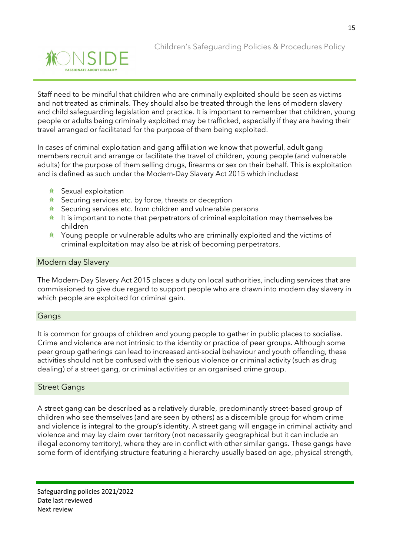

Staff need to be mindful that children who are criminally exploited should be seen as victims and not treated as criminals. They should also be treated through the lens of modern slavery and child safeguarding legislation and practice. It is important to remember that children, young people or adults being criminally exploited may be trafficked, especially if they are having their travel arranged or facilitated for the purpose of them being exploited.

In cases of criminal exploitation and gang affiliation we know that powerful, adult gang members recruit and arrange or facilitate the travel of children, young people (and vulnerable adults) for the purpose of them selling drugs, firearms or sex on their behalf. This is exploitation and is defined as such under the Modern-Day Slavery Act 2015 which includes**:** 

- **兼** Sexual exploitation
- $*$  Securing services etc. by force, threats or deception
- $*$  Securing services etc. from children and vulnerable persons
- $*$  It is important to note that perpetrators of criminal exploitation may themselves be children
- $*$  Young people or vulnerable adults who are criminally exploited and the victims of criminal exploitation may also be at risk of becoming perpetrators.

#### Modern day Slavery

The Modern-Day Slavery Act 2015 places a duty on local authorities, including services that are commissioned to give due regard to support people who are drawn into modern day slavery in which people are exploited for criminal gain.

#### Gangs

It is common for groups of children and young people to gather in public places to socialise. Crime and violence are not intrinsic to the identity or practice of peer groups. Although some peer group gatherings can lead to increased anti-social behaviour and youth offending, these activities should not be confused with the serious violence or criminal activity (such as drug dealing) of a street gang, or criminal activities or an organised crime group.

#### Street Gangs

A street gang can be described as a relatively durable, predominantly street-based group of children who see themselves (and are seen by others) as a discernible group for whom crime and violence is integral to the group's identity. A street gang will engage in criminal activity and violence and may lay claim over territory (not necessarily geographical but it can include an illegal economy territory), where they are in conflict with other similar gangs. These gangs have some form of identifying structure featuring a hierarchy usually based on age, physical strength,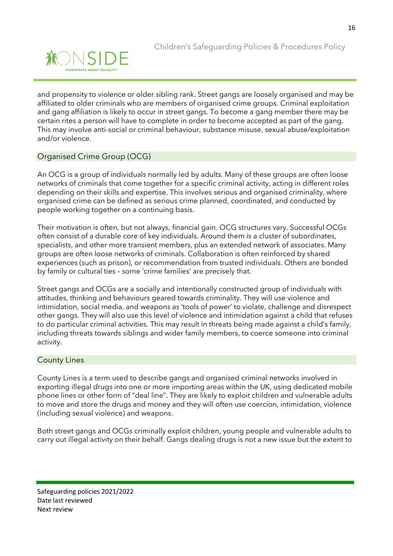

and propensity to violence or older sibling rank. Street gangs are loosely organised and may be affiliated to older criminals who are members of organised crime groups. Criminal exploitation and gang affiliation is likely to occur in street gangs. To become a gang member there may be certain rites a person will have to complete in order to become accepted as part of the gang. This may involve anti-social or criminal behaviour, substance misuse, sexual abuse/exploitation and/or violence.

#### Organised Crime Group (OCG)

An OCG is a group of individuals normally led by adults. Many of these groups are often loose networks of criminals that come together for a specific criminal activity, acting in different roles depending on their skills and expertise. This involves serious and organised criminality, where organised crime can be defined as serious crime planned, coordinated, and conducted by people working together on a continuing basis.

Their motivation is often, but not always, financial gain. OCG structures vary. Successful OCGs often consist of a durable core of key individuals. Around them is a cluster of subordinates, specialists, and other more transient members, plus an extended network of associates. Many groups are often loose networks of criminals. Collaboration is often reinforced by shared experiences (such as prison), or recommendation from trusted individuals. Others are bonded by family or cultural ties – some 'crime families' are precisely that.

Street gangs and OCGs are a socially and intentionally constructed group of individuals with attitudes, thinking and behaviours geared towards criminality. They will use violence and intimidation, social media, and weapons as 'tools of power' to violate, challenge and disrespect other gangs. They will also use this level of violence and intimidation against a child that refuses to do particular criminal activities. This may result in threats being made against a child's family, including threats towards siblings and wider family members, to coerce someone into criminal activity.

#### County Lines

County Lines is a term used to describe gangs and organised criminal networks involved in exporting illegal drugs into one or more importing areas within the UK, using dedicated mobile phone lines or other form of "deal line". They are likely to exploit children and vulnerable adults to move and store the drugs and money and they will often use coercion, intimidation, violence (including sexual violence) and weapons.

Both street gangs and OCGs criminally exploit children, young people and vulnerable adults to carry out illegal activity on their behalf. Gangs dealing drugs is not a new issue but the extent to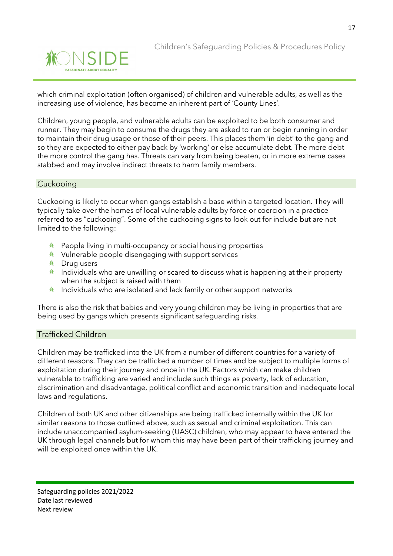

which criminal exploitation (often organised) of children and vulnerable adults, as well as the increasing use of violence, has become an inherent part of 'County Lines'.

Children, young people, and vulnerable adults can be exploited to be both consumer and runner. They may begin to consume the drugs they are asked to run or begin running in order to maintain their drug usage or those of their peers. This places them 'in debt' to the gang and so they are expected to either pay back by 'working' or else accumulate debt. The more debt the more control the gang has. Threats can vary from being beaten, or in more extreme cases stabbed and may involve indirect threats to harm family members.

#### **Cuckooing**

Cuckooing is likely to occur when gangs establish a base within a targeted location. They will typically take over the homes of local vulnerable adults by force or coercion in a practice referred to as "cuckooing". Some of the cuckooing signs to look out for include but are not limited to the following:

- $*$  People living in multi-occupancy or social housing properties
- $*$  Vulnerable people disengaging with support services
- **K** Drug users
- $*$  Individuals who are unwilling or scared to discuss what is happening at their property when the subject is raised with them
- $*$  Individuals who are isolated and lack family or other support networks

There is also the risk that babies and very young children may be living in properties that are being used by gangs which presents significant safeguarding risks.

#### Trafficked Children

Children may be trafficked into the UK from a number of different countries for a variety of different reasons. They can be trafficked a number of times and be subject to multiple forms of exploitation during their journey and once in the UK. Factors which can make children vulnerable to trafficking are varied and include such things as poverty, lack of education, discrimination and disadvantage, political conflict and economic transition and inadequate local laws and regulations.

Children of both UK and other citizenships are being trafficked internally within the UK for similar reasons to those outlined above, such as sexual and criminal exploitation. This can include unaccompanied asylum-seeking (UASC) children, who may appear to have entered the UK through legal channels but for whom this may have been part of their trafficking journey and will be exploited once within the UK.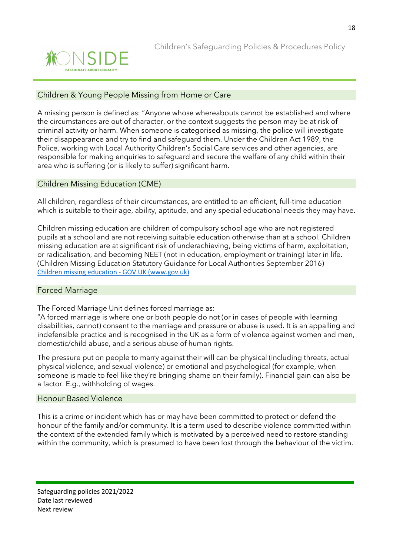

#### Children & Young People Missing from Home or Care

A missing person is defined as: "Anyone whose whereabouts cannot be established and where the circumstances are out of character, or the context suggests the person may be at risk of criminal activity or harm. When someone is categorised as missing, the police will investigate their disappearance and try to find and safeguard them. Under the Children Act 1989, the Police, working with Local Authority Children's Social Care services and other agencies, are responsible for making enquiries to safeguard and secure the welfare of any child within their area who is suffering (or is likely to suffer) significant harm.

#### Children Missing Education (CME)

All children, regardless of their circumstances, are entitled to an efficient, full-time education which is suitable to their age, ability, aptitude, and any special educational needs they may have.

Children missing education are children of compulsory school age who are not registered pupils at a school and are not receiving suitable education otherwise than at a school. Children missing education are at significant risk of underachieving, being victims of harm, exploitation, or radicalisation, and becoming NEET (not in education, employment or training) later in life. (Children Missing Education Statutory Guidance for Local Authorities September 2016) [Children missing education -](https://www.gov.uk/government/publications/children-missing-education) GOV.UK (www.gov.uk)

#### Forced Marriage

The Forced Marriage Unit defines forced marriage as:

"A forced marriage is where one or both people do not (or in cases of people with learning disabilities, cannot) consent to the marriage and pressure or abuse is used. It is an appalling and indefensible practice and is recognised in the UK as a form of violence against women and men, domestic/child abuse, and a serious abuse of human rights.

The pressure put on people to marry against their will can be physical (including threats, actual physical violence, and sexual violence) or emotional and psychological (for example, when someone is made to feel like they're bringing shame on their family). Financial gain can also be a factor. E.g., withholding of wages.

#### Honour Based Violence

This is a crime or incident which has or may have been committed to protect or defend the honour of the family and/or community. It is a term used to describe violence committed within the context of the extended family which is motivated by a perceived need to restore standing within the community, which is presumed to have been lost through the behaviour of the victim.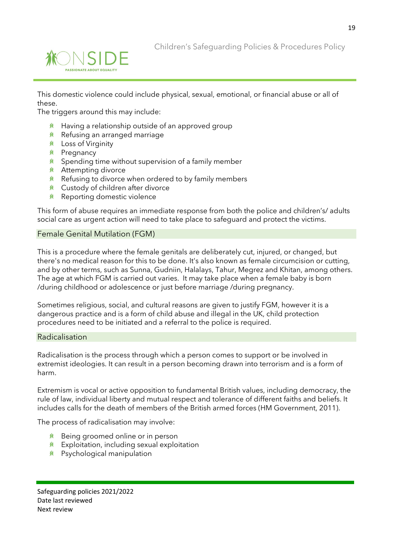



This domestic violence could include physical, sexual, emotional, or financial abuse or all of these.

The triggers around this may include:

- $*$  Having a relationship outside of an approved group
- $*$  Refusing an arranged marriage
- Loss of Virginity
- <u>*K*</u> Pregnancy
- $*$  Spending time without supervision of a family member
- **K** Attempting divorce
- $*$  Refusing to divorce when ordered to by family members
- Custody of children after divorce
- <u>**<u></u>** Reporting domestic violence</u>

This form of abuse requires an immediate response from both the police and children's/ adults social care as urgent action will need to take place to safeguard and protect the victims.

#### Female Genital Mutilation (FGM)

This is a procedure where the female genitals are deliberately cut, injured, or changed, but there's no medical reason for this to be done. It's also known as female circumcision or cutting, and by other terms, such as Sunna, Gudniin, Halalays, Tahur, Megrez and Khitan, among others. The age at which FGM is carried out varies. It may take place when a female baby is born /during childhood or adolescence or just before marriage /during pregnancy.

Sometimes religious, social, and cultural reasons are given to justify FGM, however it is a dangerous practice and is a form of child abuse and illegal in the UK, child protection procedures need to be initiated and a referral to the police is required.

#### Radicalisation

Radicalisation is the process through which a person comes to support or be involved in extremist ideologies. It can result in a person becoming drawn into terrorism and is a form of harm.

Extremism is vocal or active opposition to fundamental British values, including democracy, the rule of law, individual liberty and mutual respect and tolerance of different faiths and beliefs. It includes calls for the death of members of the British armed forces (HM Government, 2011).

The process of radicalisation may involve:

- $*$  Being groomed online or in person
- $*$  Exploitation, including sexual exploitation
- Psychological manipulation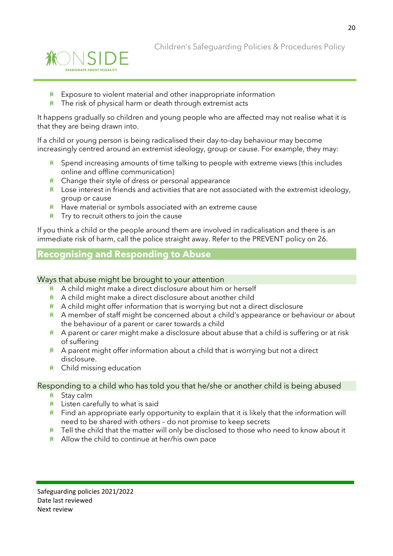

- $*$  Exposure to violent material and other inappropriate information
- $*$  The risk of physical harm or death through extremist acts

It happens gradually so children and young people who are affected may not realise what it is that they are being drawn into.

If a child or young person is being radicalised their day-to-day behaviour may become increasingly centred around an extremist ideology, group or cause. For example, they may:

- Spend increasing amounts of time talking to people with extreme views (this includes online and offline communication)
- $*$  Change their style of dress or personal appearance
- $*$  Lose interest in friends and activities that are not associated with the extremist ideology, group or cause
- $*$  Have material or symbols associated with an extreme cause
- $*$  Try to recruit others to join the cause

If you think a child or the people around them are involved in radicalisation and there is an immediate risk of harm, call the police straight away. Refer to the PREVENT policy on 26.

## **Recognising and Responding to Abuse**

#### Ways that abuse might be brought to your attention

- A child might make a direct disclosure about him or herself
- $*$  A child might make a direct disclosure about another child
- $*$  A child might offer information that is worrying but not a direct disclosure
- **A** A member of staff might be concerned about a child's appearance or behaviour or about the behaviour of a parent or carer towards a child
- $*$  A parent or carer might make a disclosure about abuse that a child is suffering or at risk of suffering
- $*$  A parent might offer information about a child that is worrying but not a direct disclosure.
- Child missing education

#### Responding to a child who has told you that he/she or another child is being abused

- **K** Stav calm
- **K** Listen carefully to what is said
- $*$  Find an appropriate early opportunity to explain that it is likely that the information will need to be shared with others – do not promise to keep secrets
- $*$  Tell the child that the matter will only be disclosed to those who need to know about it
- $*$  Allow the child to continue at her/his own pace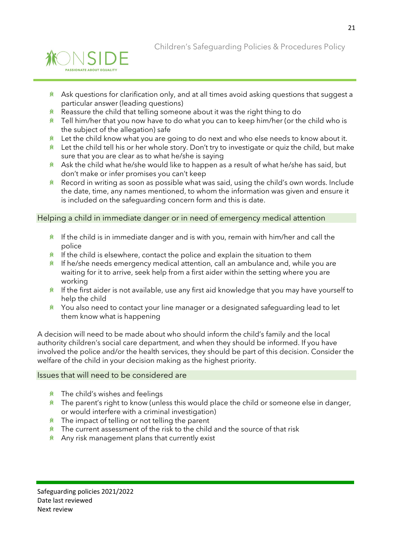

Children's Safeguarding Policies & Procedures Policy

- $*$  Ask questions for clarification only, and at all times avoid asking questions that suggest a particular answer (leading questions)
- $*$  Reassure the child that telling someone about it was the right thing to do
- $*$  Tell him/her that you now have to do what you can to keep him/her (or the child who is the subject of the allegation) safe
- $*$  Let the child know what you are going to do next and who else needs to know about it.
- $*$  Let the child tell his or her whole story. Don't try to investigate or quiz the child, but make sure that you are clear as to what he/she is saying
- Ask the child what he/she would like to happen as a result of what he/she has said, but **余** don't make or infer promises you can't keep
- **K** Record in writing as soon as possible what was said, using the child's own words. Include the date, time, any names mentioned, to whom the information was given and ensure it is included on the safeguarding concern form and this is date.

Helping a child in immediate danger or in need of emergency medical attention

- $*$  If the child is in immediate danger and is with you, remain with him/her and call the police
- $*$  If the child is elsewhere, contact the police and explain the situation to them
- $*$  If he/she needs emergency medical attention, call an ambulance and, while you are waiting for it to arrive, seek help from a first aider within the setting where you are working
- $*$  If the first aider is not available, use any first aid knowledge that you may have yourself to help the child
- $*$  You also need to contact your line manager or a designated safeguarding lead to let them know what is happening

A decision will need to be made about who should inform the child's family and the local authority children's social care department, and when they should be informed. If you have involved the police and/or the health services, they should be part of this decision. Consider the welfare of the child in your decision making as the highest priority.

#### Issues that will need to be considered are

- $*$  The child's wishes and feelings
- $*$  The parent's right to know (unless this would place the child or someone else in danger, or would interfere with a criminal investigation)
- $*$  The impact of telling or not telling the parent
- $*$  The current assessment of the risk to the child and the source of that risk
- $*$  Any risk management plans that currently exist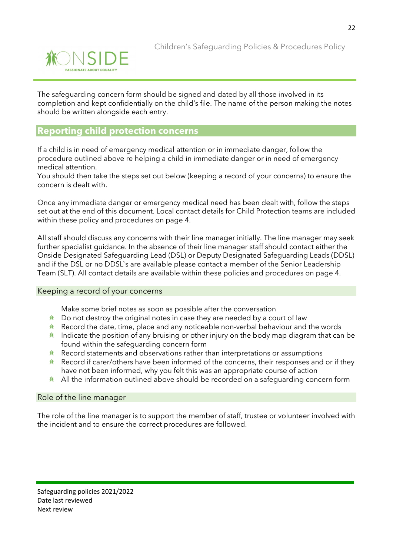

The safeguarding concern form should be signed and dated by all those involved in its completion and kept confidentially on the child's file. The name of the person making the notes should be written alongside each entry.

## **Reporting child protection concerns**

If a child is in need of emergency medical attention or in immediate danger, follow the procedure outlined above re helping a child in immediate danger or in need of emergency medical attention.

You should then take the steps set out below (keeping a record of your concerns) to ensure the concern is dealt with.

Once any immediate danger or emergency medical need has been dealt with, follow the steps set out at the end of this document. Local contact details for Child Protection teams are included within these policy and procedures on page 4.

All staff should discuss any concerns with their line manager initially. The line manager may seek further specialist guidance. In the absence of their line manager staff should contact either the Onside Designated Safeguarding Lead (DSL) or Deputy Designated Safeguarding Leads (DDSL) and if the DSL or no DDSL`s are available please contact a member of the Senior Leadership Team (SLT). All contact details are available within these policies and procedures on page 4.

#### Keeping a record of your concerns

Make some brief notes as soon as possible after the conversation

- $*$  Do not destroy the original notes in case they are needed by a court of law
- $*$  Record the date, time, place and any noticeable non-verbal behaviour and the words
- $*$  Indicate the position of any bruising or other injury on the body map diagram that can be found within the safeguarding concern form
- $*$  Record statements and observations rather than interpretations or assumptions
- $*$  Record if carer/others have been informed of the concerns, their responses and or if they have not been informed, why you felt this was an appropriate course of action
- $*$  All the information outlined above should be recorded on a safeguarding concern form

#### Role of the line manager

The role of the line manager is to support the member of staff, trustee or volunteer involved with the incident and to ensure the correct procedures are followed.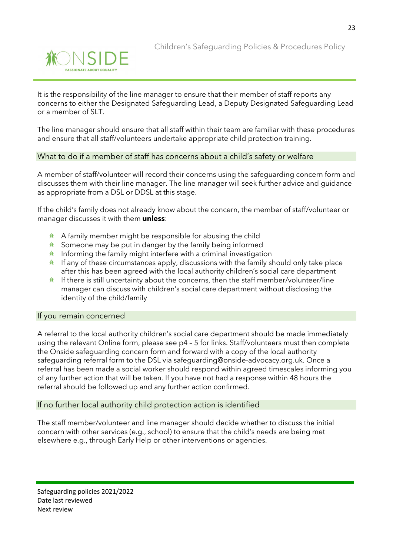

It is the responsibility of the line manager to ensure that their member of staff reports any concerns to either the Designated Safeguarding Lead, a Deputy Designated Safeguarding Lead or a member of SLT.

The line manager should ensure that all staff within their team are familiar with these procedures and ensure that all staff/volunteers undertake appropriate child protection training.

#### What to do if a member of staff has concerns about a child's safety or welfare

A member of staff/volunteer will record their concerns using the safeguarding concern form and discusses them with their line manager. The line manager will seek further advice and guidance as appropriate from a DSL or DDSL at this stage.

If the child's family does not already know about the concern, the member of staff/volunteer or manager discusses it with them **unless**:

- $*$  A family member might be responsible for abusing the child
- $*$  Someone may be put in danger by the family being informed
- $*$  Informing the family might interfere with a criminal investigation
- $*$  If any of these circumstances apply, discussions with the family should only take place after this has been agreed with the local authority children's social care department
- If there is still uncertainty about the concerns, then the staff member/volunteer/line **兼** manager can discuss with children's social care department without disclosing the identity of the child/family

#### If you remain concerned

A referral to the local authority children's social care department should be made immediately using the relevant Online form, please see p4 – 5 for links. Staff/volunteers must then complete the Onside safeguarding concern form and forward with a copy of the local authority safeguarding referral form to the DSL via safeguarding@onside-advocacy.org.uk. Once a referral has been made a social worker should respond within agreed timescales informing you of any further action that will be taken. If you have not had a response within 48 hours the referral should be followed up and any further action confirmed.

#### If no further local authority child protection action is identified

The staff member/volunteer and line manager should decide whether to discuss the initial concern with other services (e.g., school) to ensure that the child's needs are being met elsewhere e.g., through Early Help or other interventions or agencies.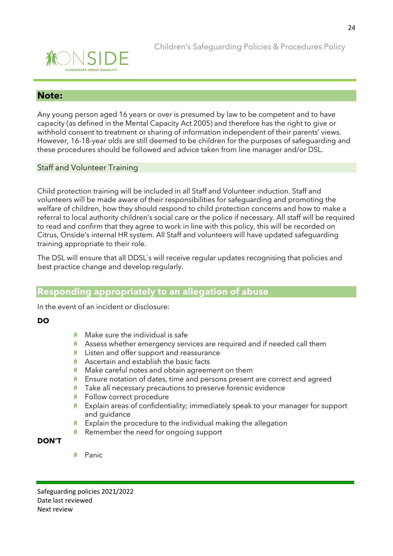

#### **Note:**

Any young person aged 16 years or over is presumed by law to be competent and to have capacity (as defined in the Mental Capacity Act 2005) and therefore has the right to give or withhold consent to treatment or sharing of information independent of their parents' views. However, 16-18-year olds are still deemed to be children for the purposes of safeguarding and these procedures should be followed and advice taken from line manager and/or DSL.

#### Staff and Volunteer Training

Child protection training will be included in all Staff and Volunteer induction. Staff and volunteers will be made aware of their responsibilities for safeguarding and promoting the welfare of children, how they should respond to child protection concerns and how to make a referral to local authority children's social care or the police if necessary. All staff will be required to read and confirm that they agree to work in line with this policy, this will be recorded on Citrus, Onside's internal HR system. All Staff and volunteers will have updated safeguarding training appropriate to their role.

The DSL will ensure that all DDSL`s will receive regular updates recognising that policies and best practice change and develop regularly.

## **Responding appropriately to an allegation of abuse**

In the event of an incident or disclosure:

#### **DO**

- $*$  Make sure the individual is safe
- $*$  Assess whether emergency services are required and if needed call them
- $*$  Listen and offer support and reassurance
- $*$  Ascertain and establish the basic facts
- Make careful notes and obtain agreement on them 兼
- **K** Ensure notation of dates, time and persons present are correct and agreed
- 兼 Take all necessary precautions to preserve forensic evidence
- **徐** Follow correct procedure
- Explain areas of confidentiality; immediately speak to your manager for support 兼 and guidance
- 兼 Explain the procedure to the individual making the allegation
- $*$  Remember the need for ongoing support

#### **DON'T**

**K** Panic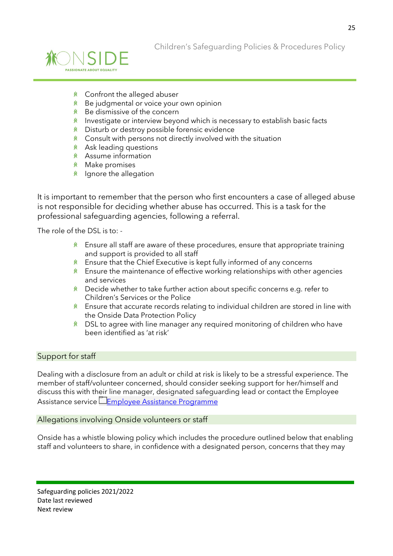

- Confront the alleged abuser
- **K** Be judgmental or voice your own opinion
- $*$  Be dismissive of the concern
- $*$  Investigate or interview beyond which is necessary to establish basic facts
- Disturb or destroy possible forensic evidence 兼
- $*$  Consult with persons not directly involved with the situation
- **<u>
</u>** Ask leading questions
- Assume information
- **K** Make promises
- $*$  Ignore the allegation

It is important to remember that the person who first encounters a case of alleged abuse is not responsible for deciding whether abuse has occurred. This is a task for the professional safeguarding agencies, following a referral.

The role of the DSL is to: -

- $*$  Ensure all staff are aware of these procedures, ensure that appropriate training and support is provided to all staff
- $*$  Ensure that the Chief Executive is kept fully informed of any concerns
- $*$  Ensure the maintenance of effective working relationships with other agencies and services
- Decide whether to take further action about specific concerns e.g. refer to Children's Services or the Police
- $*$  Ensure that accurate records relating to individual children are stored in line with the Onside Data Protection Policy
- $*$  DSL to agree with line manager any required monitoring of children who have been identified as 'at risk'

#### Support for staff

Dealing with a disclosure from an adult or child at risk is likely to be a stressful experience. The member of staff/volunteer concerned, should consider seeking support for her/himself and discuss this with their line manager, designated safeguarding lead or contact the Employee Assistance service EEmployee Assistance Programme

#### Allegations involving Onside volunteers or staff

Onside has a whistle blowing policy which includes the procedure outlined below that enabling staff and volunteers to share, in confidence with a designated person, concerns that they may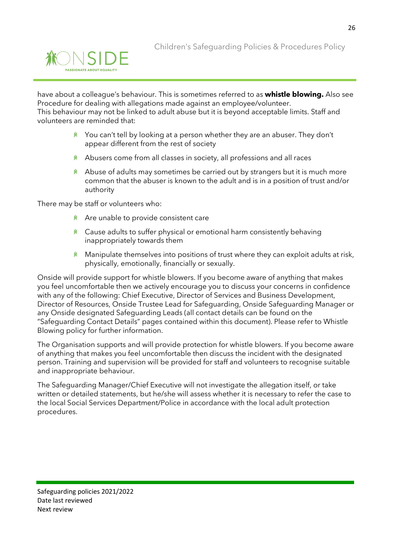

have about a colleague's behaviour. This is sometimes referred to as **whistle blowing.** Also see Procedure for dealing with allegations made against an employee/volunteer. This behaviour may not be linked to adult abuse but it is beyond acceptable limits. Staff and volunteers are reminded that:

- You can't tell by looking at a person whether they are an abuser. They don't appear different from the rest of society
- **ALC** Abusers come from all classes in society, all professions and all races
- $*$  Abuse of adults may sometimes be carried out by strangers but it is much more common that the abuser is known to the adult and is in a position of trust and/or authority

There may be staff or volunteers who:

- $*$  Are unable to provide consistent care
- $*$  Cause adults to suffer physical or emotional harm consistently behaving inappropriately towards them
- $*$  Manipulate themselves into positions of trust where they can exploit adults at risk, physically, emotionally, financially or sexually.

Onside will provide support for whistle blowers. If you become aware of anything that makes you feel uncomfortable then we actively encourage you to discuss your concerns in confidence with any of the following: Chief Executive, Director of Services and Business Development, Director of Resources, Onside Trustee Lead for Safeguarding, Onside Safeguarding Manager or any Onside designated Safeguarding Leads (all contact details can be found on the "Safeguarding Contact Details" pages contained within this document). Please refer to Whistle Blowing policy for further information.

The Organisation supports and will provide protection for whistle blowers. If you become aware of anything that makes you feel uncomfortable then discuss the incident with the designated person. Training and supervision will be provided for staff and volunteers to recognise suitable and inappropriate behaviour.

The Safeguarding Manager/Chief Executive will not investigate the allegation itself, or take written or detailed statements, but he/she will assess whether it is necessary to refer the case to the local Social Services Department/Police in accordance with the local adult protection procedures.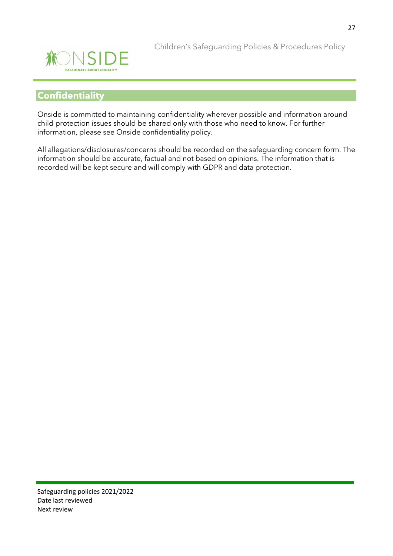

## **Confidentiality**

Onside is committed to maintaining confidentiality wherever possible and information around child protection issues should be shared only with those who need to know. For further information, please see Onside confidentiality policy.

All allegations/disclosures/concerns should be recorded on the safeguarding concern form. The information should be accurate, factual and not based on opinions. The information that is recorded will be kept secure and will comply with GDPR and data protection.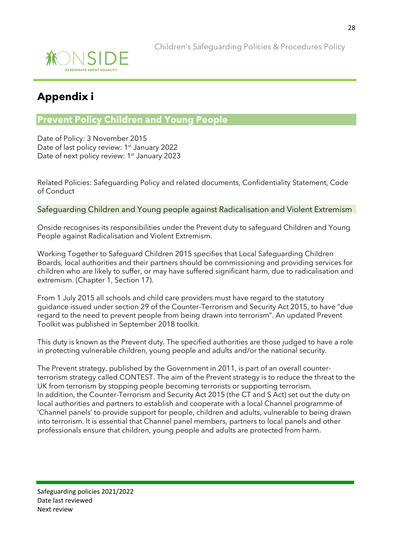

## **Appendix i**

## **Prevent Policy Children and Young People**

Date of Policy: 3 November 2015 Date of last policy review: 1<sup>st</sup> January 2022 Date of next policy review: 1<sup>st</sup> January 2023

Related Policies: Safeguarding Policy and related documents, Confidentiality Statement, Code of Conduct

#### Safeguarding Children and Young people against Radicalisation and Violent Extremism

Onside recognises its responsibilities under the Prevent duty to safeguard Children and Young People against Radicalisation and Violent Extremism.

Working Together to Safeguard Children 2015 specifies that Local Safeguarding Children Boards, local authorities and their partners should be commissioning and providing services for children who are likely to suffer, or may have suffered significant harm, due to radicalisation and extremism. (Chapter 1, Section 17).

From 1 July 2015 all schools and child care providers must have regard to the statutory guidance issued under section 29 of the Counter-Terrorism and Security Act 2015, to have "due regard to the need to prevent people from being drawn into terrorism". An updated Prevent Toolkit was published in September 2018 toolkit.

This duty is known as the Prevent duty. The specified authorities are those judged to have a role in protecting vulnerable children, young people and adults and/or the national security.

The Prevent strategy, published by the Government in 2011, is part of an overall counterterrorism strategy called CONTEST. The aim of the Prevent strategy is to reduce the threat to the UK from terrorism by stopping people becoming terrorists or supporting terrorism. In addition, the Counter-Terrorism and Security Act 2015 (the CT and S Act) set out the duty on local authorities and partners to establish and cooperate with a local Channel programme of 'Channel panels' to provide support for people, children and adults, vulnerable to being drawn into terrorism. It is essential that Channel panel members, partners to local panels and other professionals ensure that children, young people and adults are protected from harm.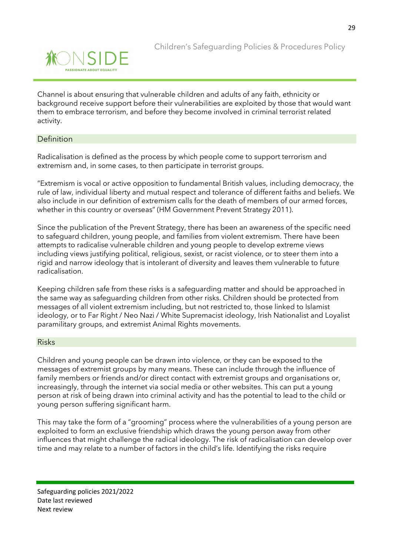Channel is about ensuring that vulnerable children and adults of any faith, ethnicity or background receive support before their vulnerabilities are exploited by those that would want them to embrace terrorism, and before they become involved in criminal terrorist related activity.

#### Definition

Radicalisation is defined as the process by which people come to support terrorism and extremism and, in some cases, to then participate in terrorist groups.

"Extremism is vocal or active opposition to fundamental British values, including democracy, the rule of law, individual liberty and mutual respect and tolerance of different faiths and beliefs. We also include in our definition of extremism calls for the death of members of our armed forces, whether in this country or overseas" (HM Government Prevent Strategy 2011).

Since the publication of the Prevent Strategy, there has been an awareness of the specific need to safeguard children, young people, and families from violent extremism. There have been attempts to radicalise vulnerable children and young people to develop extreme views including views justifying political, religious, sexist, or racist violence, or to steer them into a rigid and narrow ideology that is intolerant of diversity and leaves them vulnerable to future radicalisation.

Keeping children safe from these risks is a safeguarding matter and should be approached in the same way as safeguarding children from other risks. Children should be protected from messages of all violent extremism including, but not restricted to, those linked to Islamist ideology, or to Far Right / Neo Nazi / White Supremacist ideology, Irish Nationalist and Loyalist paramilitary groups, and extremist Animal Rights movements.

#### Risks

Children and young people can be drawn into violence, or they can be exposed to the messages of extremist groups by many means. These can include through the influence of family members or friends and/or direct contact with extremist groups and organisations or, increasingly, through the internet via social media or other websites. This can put a young person at risk of being drawn into criminal activity and has the potential to lead to the child or young person suffering significant harm.

This may take the form of a "grooming" process where the vulnerabilities of a young person are exploited to form an exclusive friendship which draws the young person away from other influences that might challenge the radical ideology. The risk of radicalisation can develop over time and may relate to a number of factors in the child's life. Identifying the risks require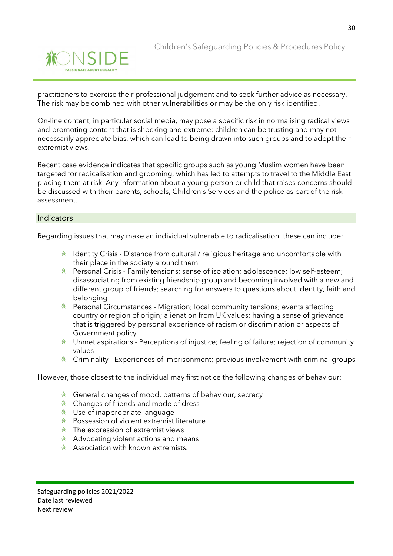



practitioners to exercise their professional judgement and to seek further advice as necessary. The risk may be combined with other vulnerabilities or may be the only risk identified.

On-line content, in particular social media, may pose a specific risk in normalising radical views and promoting content that is shocking and extreme; children can be trusting and may not necessarily appreciate bias, which can lead to being drawn into such groups and to adopt their extremist views.

Recent case evidence indicates that specific groups such as young Muslim women have been targeted for radicalisation and grooming, which has led to attempts to travel to the Middle East placing them at risk. Any information about a young person or child that raises concerns should be discussed with their parents, schools, Children's Services and the police as part of the risk assessment.

#### **Indicators**

Regarding issues that may make an individual vulnerable to radicalisation, these can include:

- **K** Identity Crisis Distance from cultural / religious heritage and uncomfortable with their place in the society around them
- Personal Crisis Family tensions; sense of isolation; adolescence; low self-esteem; disassociating from existing friendship group and becoming involved with a new and different group of friends; searching for answers to questions about identity, faith and belonging
- **K** Personal Circumstances Migration; local community tensions; events affecting country or region of origin; alienation from UK values; having a sense of grievance that is triggered by personal experience of racism or discrimination or aspects of Government policy
- $*$  Unmet aspirations Perceptions of injustice; feeling of failure; rejection of community values
- **K** Criminality Experiences of imprisonment; previous involvement with criminal groups

However, those closest to the individual may first notice the following changes of behaviour:

- **K** General changes of mood, patterns of behaviour, secrecy
- Changes of friends and mode of dress
- **K** Use of inappropriate language
- **K** Possession of violent extremist literature
- $*$  The expression of extremist views
- $*$  Advocating violent actions and means
- **Association with known extremists.**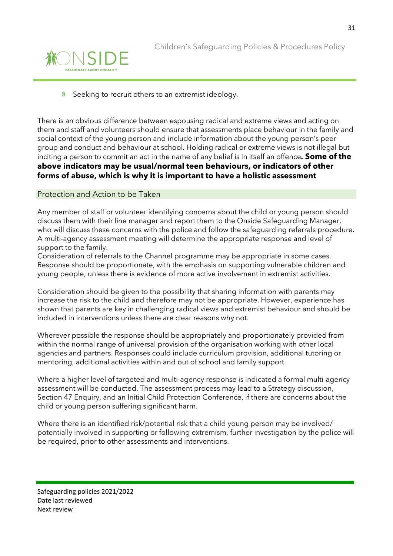

兼 Seeking to recruit others to an extremist ideology.

There is an obvious difference between espousing radical and extreme views and acting on them and staff and volunteers should ensure that assessments place behaviour in the family and social context of the young person and include information about the young person's peer group and conduct and behaviour at school. Holding radical or extreme views is not illegal but inciting a person to commit an act in the name of any belief is in itself an offence*.* **Some of the above indicators may be usual/normal teen behaviours, or indicators of other forms of abuse, which is why it is important to have a holistic assessment**

#### Protection and Action to be Taken

Any member of staff or volunteer identifying concerns about the child or young person should discuss them with their line manager and report them to the Onside Safeguarding Manager, who will discuss these concerns with the police and follow the safeguarding referrals procedure. A multi-agency assessment meeting will determine the appropriate response and level of support to the family.

Consideration of referrals to the Channel programme may be appropriate in some cases. Response should be proportionate, with the emphasis on supporting vulnerable children and young people, unless there is evidence of more active involvement in extremist activities.

Consideration should be given to the possibility that sharing information with parents may increase the risk to the child and therefore may not be appropriate. However, experience has shown that parents are key in challenging radical views and extremist behaviour and should be included in interventions unless there are clear reasons why not.

Wherever possible the response should be appropriately and proportionately provided from within the normal range of universal provision of the organisation working with other local agencies and partners. Responses could include curriculum provision, additional tutoring or mentoring, additional activities within and out of school and family support.

Where a higher level of targeted and multi-agency response is indicated a formal multi-agency assessment will be conducted. The assessment process may lead to a Strategy discussion, Section 47 Enquiry, and an Initial Child Protection Conference, if there are concerns about the child or young person suffering significant harm.

Where there is an identified risk/potential risk that a child young person may be involved/ potentially involved in supporting or following extremism, further investigation by the police will be required, prior to other assessments and interventions.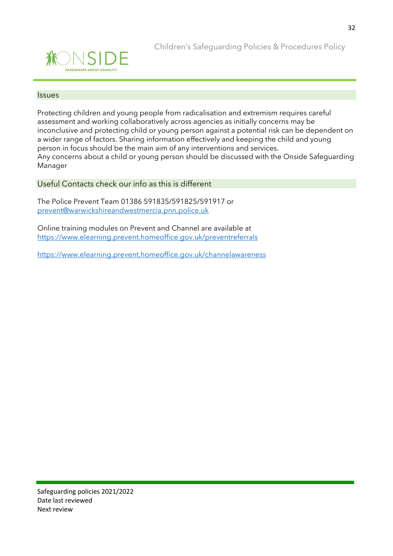

#### Issues

Protecting children and young people from radicalisation and extremism requires careful assessment and working collaboratively across agencies as initially concerns may be inconclusive and protecting child or young person against a potential risk can be dependent on a wider range of factors. Sharing information effectively and keeping the child and young person in focus should be the main aim of any interventions and services. Any concerns about a child or young person should be discussed with the Onside Safeguarding Manager

Useful Contacts check our info as this is different

The Police Prevent Team 01386 591835/591825/591917 or prevent@warwickshireandwestmercia.pnn.police.uk

Online training modules on Prevent and Channel are available at <https://www.elearning.prevent.homeoffice.gov.uk/preventreferrals>

<https://www.elearning.prevent.homeoffice.gov.uk/channelawareness>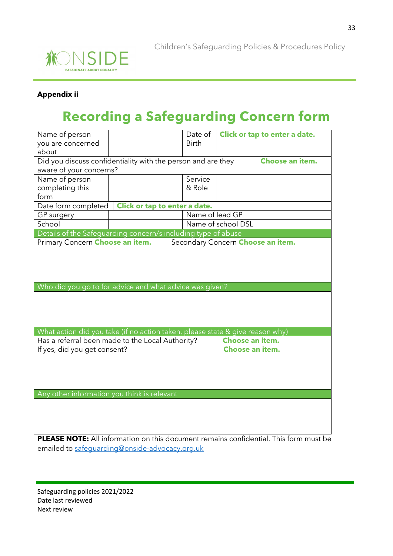

#### **Appendix ii**

# **Recording a Safeguarding Concern form**

| Name of person<br>you are concerned<br>about                                                 |                               | Date of<br><b>Birth</b> |                                          | Click or tap to enter a date. |  |  |
|----------------------------------------------------------------------------------------------|-------------------------------|-------------------------|------------------------------------------|-------------------------------|--|--|
| Did you discuss confidentiality with the person and are they<br>Choose an item.              |                               |                         |                                          |                               |  |  |
| aware of your concerns?                                                                      |                               |                         |                                          |                               |  |  |
| Name of person                                                                               |                               | Service                 |                                          |                               |  |  |
| completing this                                                                              |                               | & Role                  |                                          |                               |  |  |
| form                                                                                         |                               |                         |                                          |                               |  |  |
| Date form completed                                                                          | Click or tap to enter a date. |                         |                                          |                               |  |  |
| GP surgery                                                                                   |                               | Name of lead GP         |                                          |                               |  |  |
| School                                                                                       |                               |                         | Name of school DSL                       |                               |  |  |
| Details of the Safeguarding concern/s including type of abuse                                |                               |                         |                                          |                               |  |  |
| Primary Concern Choose an item.                                                              |                               |                         | Secondary Concern <b>Choose an item.</b> |                               |  |  |
|                                                                                              |                               |                         |                                          |                               |  |  |
|                                                                                              |                               |                         |                                          |                               |  |  |
|                                                                                              |                               |                         |                                          |                               |  |  |
|                                                                                              |                               |                         |                                          |                               |  |  |
| Who did you go to for advice and what advice was given?                                      |                               |                         |                                          |                               |  |  |
|                                                                                              |                               |                         |                                          |                               |  |  |
|                                                                                              |                               |                         |                                          |                               |  |  |
|                                                                                              |                               |                         |                                          |                               |  |  |
|                                                                                              |                               |                         |                                          |                               |  |  |
| What action did you take (if no action taken, please state & give reason why)                |                               |                         |                                          |                               |  |  |
| Has a referral been made to the Local Authority?                                             |                               |                         | Choose an item.                          |                               |  |  |
| If yes, did you get consent?                                                                 |                               |                         | Choose an item.                          |                               |  |  |
|                                                                                              |                               |                         |                                          |                               |  |  |
|                                                                                              |                               |                         |                                          |                               |  |  |
|                                                                                              |                               |                         |                                          |                               |  |  |
|                                                                                              |                               |                         |                                          |                               |  |  |
| Any other information you think is relevant                                                  |                               |                         |                                          |                               |  |  |
|                                                                                              |                               |                         |                                          |                               |  |  |
|                                                                                              |                               |                         |                                          |                               |  |  |
|                                                                                              |                               |                         |                                          |                               |  |  |
| <b>PLEASE NOTE:</b> All information on this document remains confidential. This form must be |                               |                         |                                          |                               |  |  |

emailed to [safeguarding@onside-advocacy.org.uk](mailto:safeguarding@onside-advocacy.org.uk)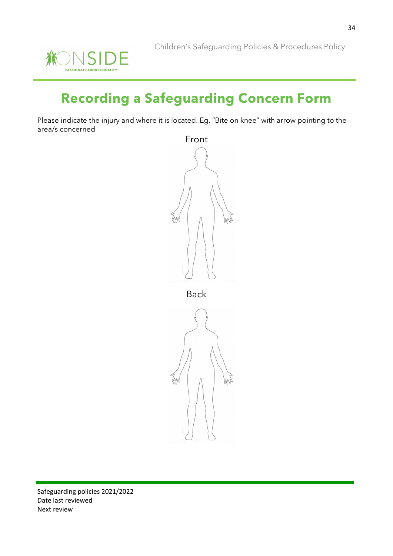

# **Recording a Safeguarding Concern Form**

Please indicate the injury and where it is located. Eg. "Bite on knee" with arrow pointing to the area/s concerned



Back

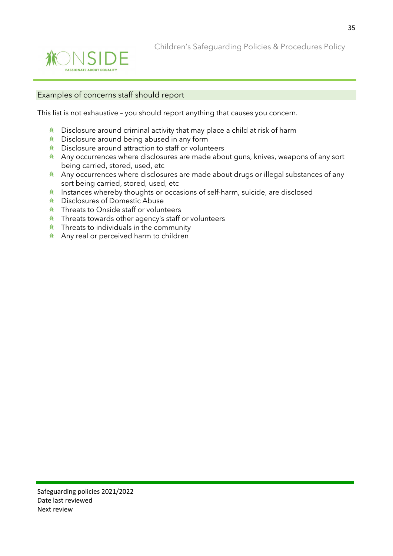

Children's Safeguarding Policies & Procedures Policy

#### Examples of concerns staff should report

This list is not exhaustive – you should report anything that causes you concern.

- $*$  Disclosure around criminal activity that may place a child at risk of harm
- **K** Disclosure around being abused in any form
- **K** Disclosure around attraction to staff or volunteers
- $*$  Any occurrences where disclosures are made about guns, knives, weapons of any sort being carried, stored, used, etc
- $*$  Any occurrences where disclosures are made about drugs or illegal substances of any sort being carried, stored, used, etc
- $*$  Instances whereby thoughts or occasions of self-harm, suicide, are disclosed
- Disclosures of Domestic Abuse
- **K** Threats to Onside staff or volunteers
- $*$  Threats towards other agency's staff or volunteers
- $*$  Threats to individuals in the community
- Any real or perceived harm to children